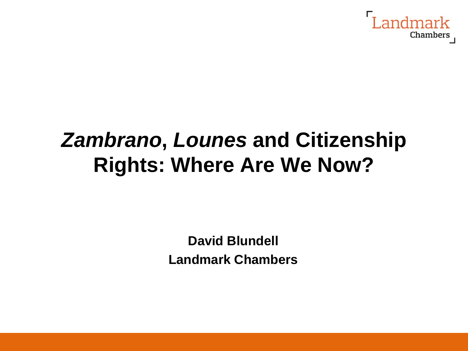

## *Zambrano***,** *Lounes* **and Citizenship Rights: Where Are We Now?**

**David Blundell Landmark Chambers**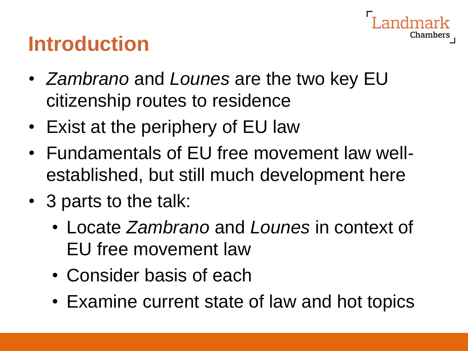## **Introduction**

• *Zambrano* and *Lounes* are the two key EU citizenship routes to residence

- Exist at the periphery of EU law
- Fundamentals of EU free movement law wellestablished, but still much development here
- 3 parts to the talk:
	- Locate *Zambrano* and *Lounes* in context of EU free movement law
	- Consider basis of each
	- Examine current state of law and hot topics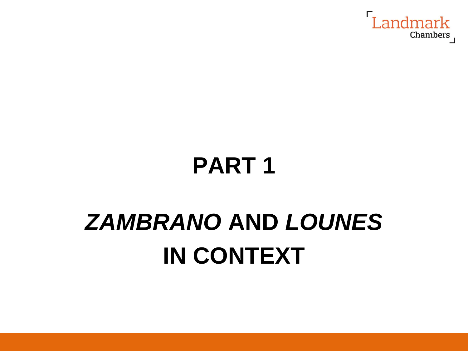

## **PART 1**

# *ZAMBRANO* **AND** *LOUNES* **IN CONTEXT**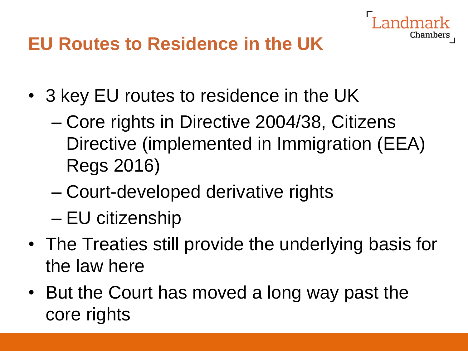

#### **EU Routes to Residence in the UK**

- 3 key EU routes to residence in the UK
	- Core rights in Directive 2004/38, Citizens Directive (implemented in Immigration (EEA) Regs 2016)
	- Court-developed derivative rights
	- EU citizenship
- The Treaties still provide the underlying basis for the law here
- But the Court has moved a long way past the core rights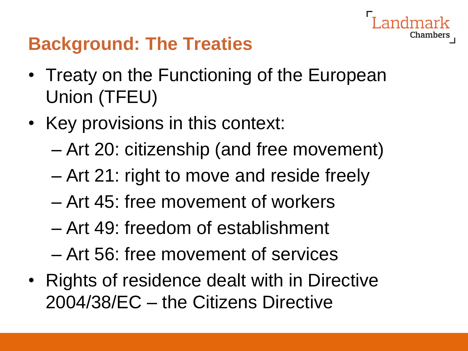

#### **Background: The Treaties**

- Treaty on the Functioning of the European Union (TFEU)
- Key provisions in this context:
	- Art 20: citizenship (and free movement)
	- Art 21: right to move and reside freely
	- Art 45: free movement of workers
	- Art 49: freedom of establishment
	- Art 56: free movement of services
- Rights of residence dealt with in Directive 2004/38/EC – the Citizens Directive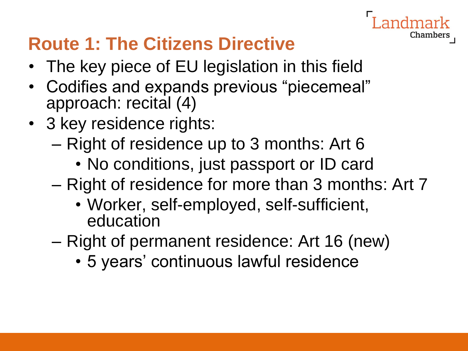# Chambers

### **Route 1: The Citizens Directive**

- The key piece of EU legislation in this field
- Codifies and expands previous "piecemeal" approach: recital (4)
- 3 key residence rights:
	- Right of residence up to 3 months: Art 6
		- No conditions, just passport or ID card
	- Right of residence for more than 3 months: Art 7
		- Worker, self-employed, self-sufficient, education
	- Right of permanent residence: Art 16 (new)
		- 5 years' continuous lawful residence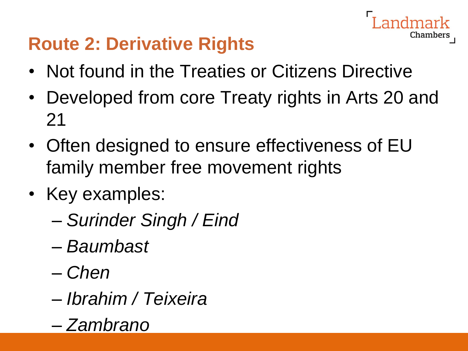#### **Route 2: Derivative Rights**

- Not found in the Treaties or Citizens Directive
- Developed from core Treaty rights in Arts 20 and 21

- Often designed to ensure effectiveness of EU family member free movement rights
- Key examples:
	- *Surinder Singh / Eind*
	- *Baumbast*
	- *Chen*
	- *Ibrahim / Teixeira*
	- *Zambrano*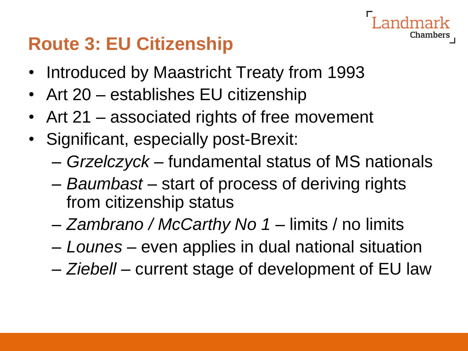#### **Route 3: EU Citizenship**

- Introduced by Maastricht Treaty from 1993
- Art 20 establishes EU citizenship
- Art 21 associated rights of free movement
- Significant, especially post-Brexit:
	- *Grzelczyck* fundamental status of MS nationals

- *Baumbast* start of process of deriving rights from citizenship status
- *Zambrano / McCarthy No 1*  limits / no limits
- *Lounes* even applies in dual national situation
- *Ziebell* current stage of development of EU law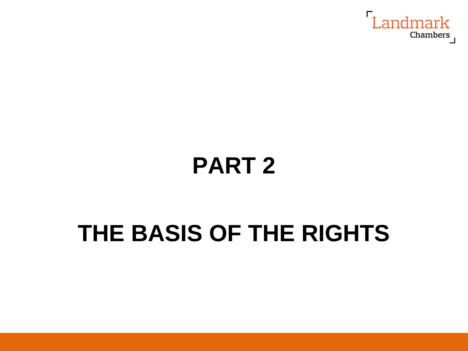

## **PART 2**

## **THE BASIS OF THE RIGHTS**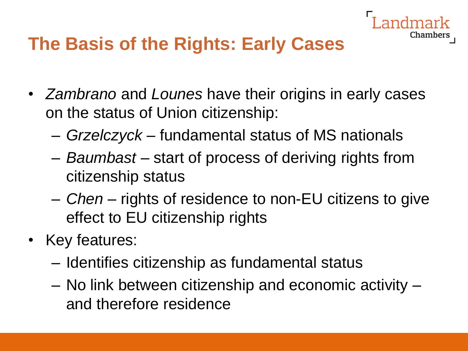

#### **The Basis of the Rights: Early Cases**

- *Zambrano* and *Lounes* have their origins in early cases on the status of Union citizenship:
	- *Grzelczyck* fundamental status of MS nationals
	- *Baumbast* start of process of deriving rights from citizenship status
	- *Chen* rights of residence to non-EU citizens to give effect to EU citizenship rights
- Key features:
	- Identifies citizenship as fundamental status
	- No link between citizenship and economic activity and therefore residence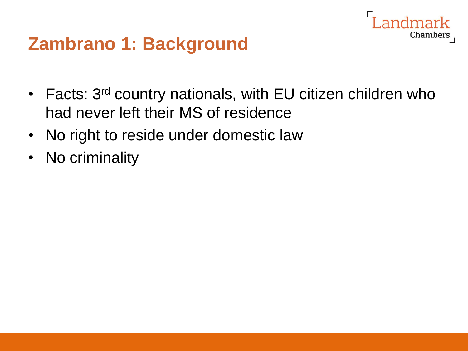#### **Zambrano 1: Background**

• Facts: 3<sup>rd</sup> country nationals, with EU citizen children who had never left their MS of residence

andmark

- No right to reside under domestic law
- No criminality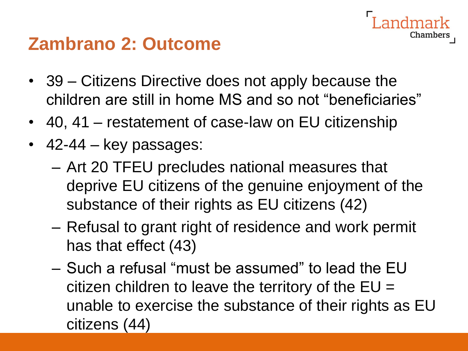#### **Zambrano 2: Outcome**

• 39 – Citizens Directive does not apply because the children are still in home MS and so not "beneficiaries"

- 40, 41 restatement of case-law on EU citizenship
- 42-44 key passages:
	- Art 20 TFEU precludes national measures that deprive EU citizens of the genuine enjoyment of the substance of their rights as EU citizens (42)
	- Refusal to grant right of residence and work permit has that effect (43)
	- Such a refusal "must be assumed" to lead the EU citizen children to leave the territory of the  $EU =$ unable to exercise the substance of their rights as EU citizens (44)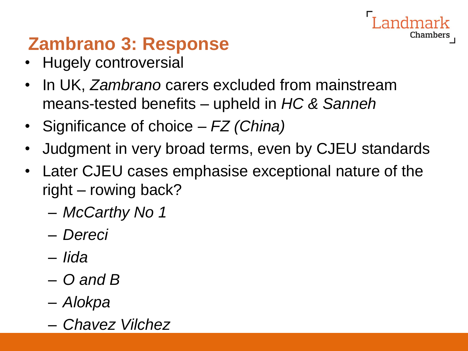### **Zambrano 3: Response**

- Hugely controversial
- In UK, *Zambrano* carers excluded from mainstream means-tested benefits – upheld in *HC & Sanneh*
- Significance of choice *FZ (China)*
- Judgment in very broad terms, even by CJEU standards

- Later CJEU cases emphasise exceptional nature of the right – rowing back?
	- *McCarthy No 1*
	- *Dereci*
	- *Iida*
	- *O and B*
	- *Alokpa*
	- *Chavez Vilchez*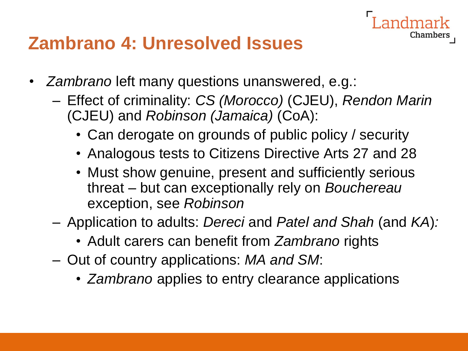#### **Zambrano 4: Unresolved Issues**

- *Zambrano* left many questions unanswered, e.g.:
	- Effect of criminality: *CS (Morocco)* (CJEU), *Rendon Marin*  (CJEU) and *Robinson (Jamaica)* (CoA):

- Can derogate on grounds of public policy / security
- Analogous tests to Citizens Directive Arts 27 and 28
- Must show genuine, present and sufficiently serious threat – but can exceptionally rely on *Bouchereau* exception, see *Robinson*
- Application to adults: *Dereci* and *Patel and Shah* (and *KA*)*:*
	- Adult carers can benefit from *Zambrano* rights
- Out of country applications: *MA and SM*:
	- *Zambrano* applies to entry clearance applications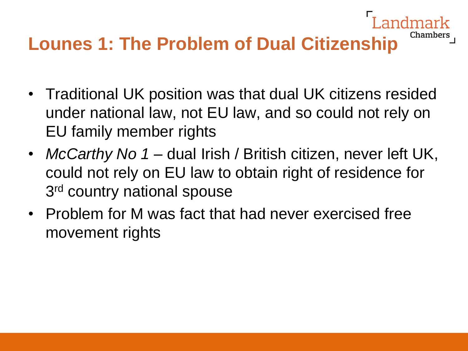## **Lounes 1: The Problem of Dual Citizenship**

• Traditional UK position was that dual UK citizens resided under national law, not EU law, and so could not rely on EU family member rights

- *McCarthy No 1* dual Irish / British citizen, never left UK, could not rely on EU law to obtain right of residence for 3<sup>rd</sup> country national spouse
- Problem for M was fact that had never exercised free movement rights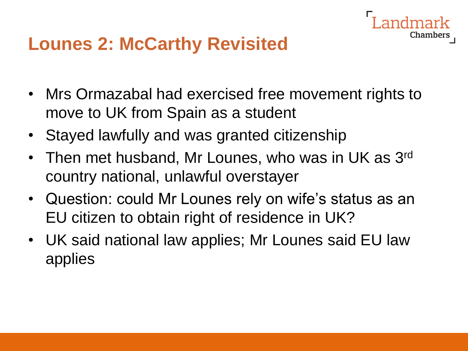#### **Lounes 2: McCarthy Revisited**

• Mrs Ormazabal had exercised free movement rights to move to UK from Spain as a student

- Stayed lawfully and was granted citizenship
- Then met husband, Mr Lounes, who was in UK as 3<sup>rd</sup> country national, unlawful overstayer
- Question: could Mr Lounes rely on wife's status as an EU citizen to obtain right of residence in UK?
- UK said national law applies; Mr Lounes said EU law applies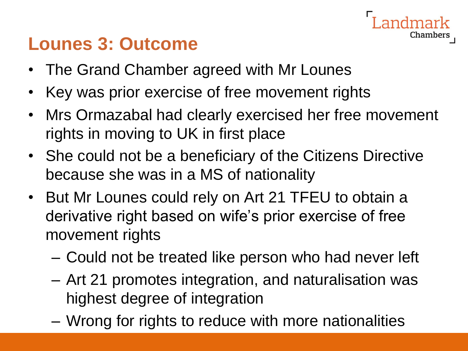#### **Lounes 3: Outcome**

- The Grand Chamber agreed with Mr Lounes
- Key was prior exercise of free movement rights
- Mrs Ormazabal had clearly exercised her free movement rights in moving to UK in first place

- She could not be a beneficiary of the Citizens Directive because she was in a MS of nationality
- But Mr Lounes could rely on Art 21 TFEU to obtain a derivative right based on wife's prior exercise of free movement rights
	- Could not be treated like person who had never left
	- Art 21 promotes integration, and naturalisation was highest degree of integration
	- Wrong for rights to reduce with more nationalities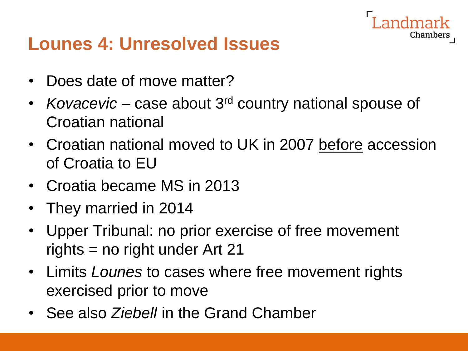Chambers

#### **Lounes 4: Unresolved Issues**

- Does date of move matter?
- *Kovacevic* case about 3rd country national spouse of Croatian national
- Croatian national moved to UK in 2007 before accession of Croatia to EU
- Croatia became MS in 2013
- They married in 2014
- Upper Tribunal: no prior exercise of free movement rights = no right under Art 21
- Limits *Lounes* to cases where free movement rights exercised prior to move
- See also *Ziebell* in the Grand Chamber